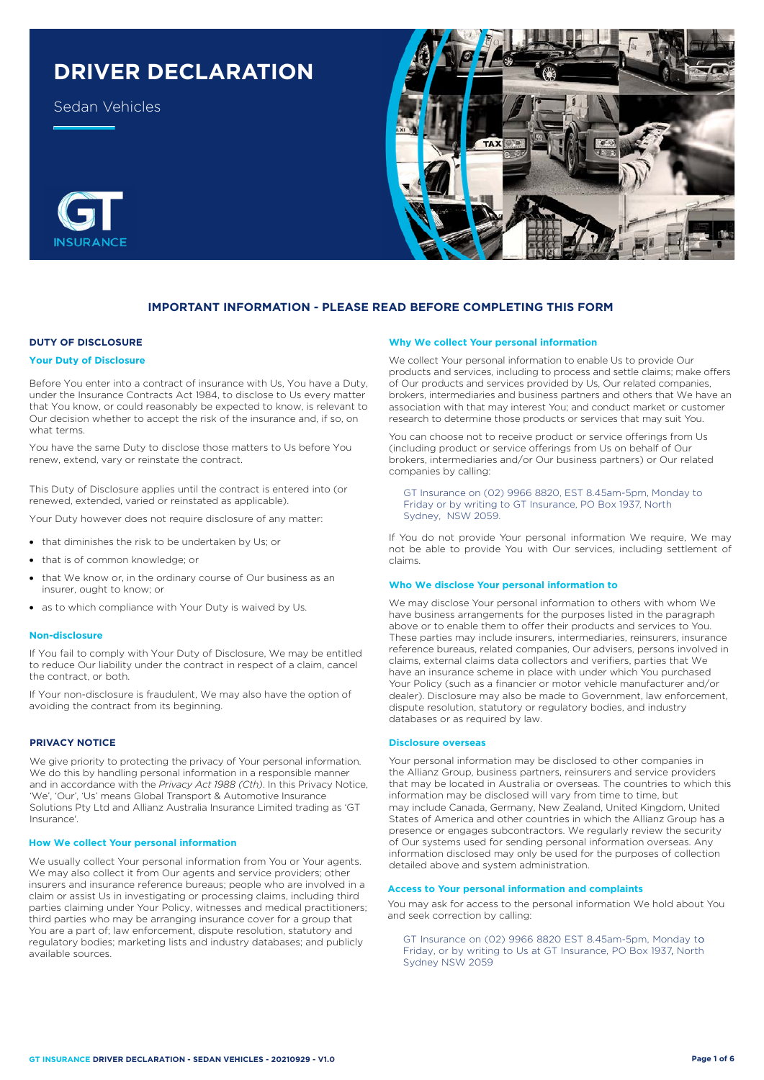# **DRIVER DECLARATION**

Sedan Vehicles





## **IMPORTANT INFORMATION - PLEASE READ BEFORE COMPLETING THIS FORM**

## **DUTY OF DISCLOSURE**

#### **Your Duty of Disclosure**

Before You enter into a contract of insurance with Us, You have a Duty, under the Insurance Contracts Act 1984, to disclose to Us every matter that You know, or could reasonably be expected to know, is relevant to Our decision whether to accept the risk of the insurance and, if so, on what terms.

You have the same Duty to disclose those matters to Us before You renew, extend, vary or reinstate the contract.

This Duty of Disclosure applies until the contract is entered into (or renewed, extended, varied or reinstated as applicable).

Your Duty however does not require disclosure of any matter:

- that diminishes the risk to be undertaken by Us; or
- that is of common knowledge; or
- that We know or, in the ordinary course of Our business as an insurer, ought to know; or
- as to which compliance with Your Duty is waived by Us.

#### **Non-disclosure**

If You fail to comply with Your Duty of Disclosure, We may be entitled to reduce Our liability under the contract in respect of a claim, cancel the contract, or both.

If Your non-disclosure is fraudulent, We may also have the option of avoiding the contract from its beginning.

## **PRIVACY NOTICE**

We give priority to protecting the privacy of Your personal information. We do this by handling personal information in a responsible manner and in accordance with the *Privacy Act 1988 (Cth)*. In this Privacy Notice, 'We', 'Our', 'Us' means Global Transport & Automotive Insurance Solutions Pty Ltd and Allianz Australia Insurance Limited trading as 'GT Insurance'.

#### **How We collect Your personal information**

We usually collect Your personal information from You or Your agents. We may also collect it from Our agents and service providers; other insurers and insurance reference bureaus; people who are involved in a claim or assist Us in investigating or processing claims, including third parties claiming under Your Policy, witnesses and medical practitioners; third parties who may be arranging insurance cover for a group that You are a part of; law enforcement, dispute resolution, statutory and regulatory bodies; marketing lists and industry databases; and publicly available sources.

#### **Why We collect Your personal information**

We collect Your personal information to enable Us to provide Our products and services, including to process and settle claims; make offers of Our products and services provided by Us, Our related companies, brokers, intermediaries and business partners and others that We have an association with that may interest You; and conduct market or customer research to determine those products or services that may suit You.

You can choose not to receive product or service offerings from Us (including product or service offerings from Us on behalf of Our brokers, intermediaries and/or Our business partners) or Our related companies by calling:

GT Insurance on (02) 9966 8820, EST 8.45am-5pm, Monday to Friday or by writing to GT Insurance, PO Box 1937, North Sydney, NSW 2059.

If You do not provide Your personal information We require, We may not be able to provide You with Our services, including settlement of claims.

#### **Who We disclose Your personal information to**

We may disclose Your personal information to others with whom We have business arrangements for the purposes listed in the paragraph above or to enable them to offer their products and services to You. These parties may include insurers, intermediaries, reinsurers, insurance reference bureaus, related companies, Our advisers, persons involved in claims, external claims data collectors and verifiers, parties that We have an insurance scheme in place with under which You purchased Your Policy (such as a financier or motor vehicle manufacturer and/or dealer). Disclosure may also be made to Government, law enforcement, dispute resolution, statutory or regulatory bodies, and industry databases or as required by law.

#### **Disclosure overseas**

Your personal information may be disclosed to other companies in the Allianz Group, business partners, reinsurers and service providers that may be located in Australia or overseas. The countries to which this information may be disclosed will vary from time to time, but may include Canada, Germany, New Zealand, United Kingdom, United States of America and other countries in which the Allianz Group has a presence or engages subcontractors. We regularly review the security of Our systems used for sending personal information overseas. Any information disclosed may only be used for the purposes of collection detailed above and system administration.

## **Access to Your personal information and complaints**

You may ask for access to the personal information We hold about You and seek correction by calling:

GT Insurance on (02) 9966 8820 EST 8.45am-5pm, Monday to Friday, or by writing to Us at GT Insurance, PO Box 1937, North Sydney NSW 2059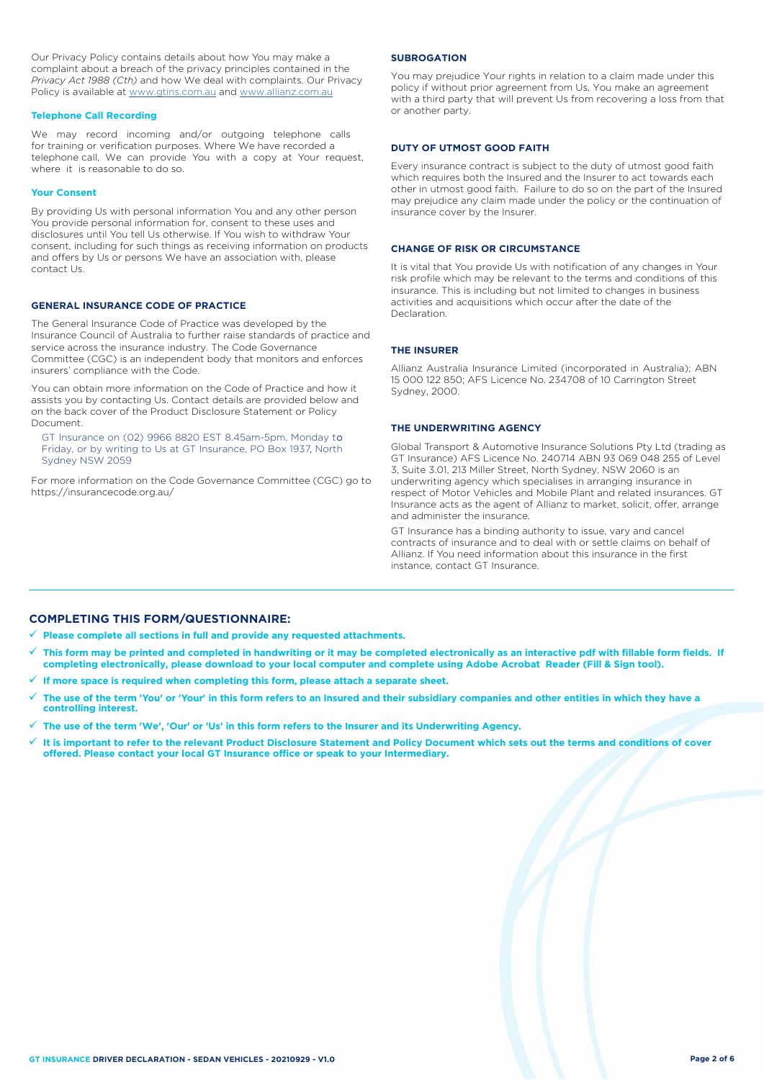Our Privacy Policy contains details about how You may make a complaint about a breach of the privacy principles contained in the *Privacy Act 1988 (Cth)* and how We deal with complaints. Our Privacy Policy is available at [www.gtins.com.au](https://www.gtins.com.au/documents-and-policies/) and [www.allianz.com.au](https://www.allianz.com.au/about-us/privacy/)

#### **Telephone Call Recording**

We may record incoming and/or outgoing telephone calls for training or verification purposes. Where We have recorded a telephone call, We can provide You with a copy at Your request, where it is reasonable to do so.

#### **Your Consent**

By providing Us with personal information You and any other person You provide personal information for, consent to these uses and disclosures until You tell Us otherwise. If You wish to withdraw Your consent, including for such things as receiving information on products and offers by Us or persons We have an association with, please contact Us.

## **GENERAL INSURANCE CODE OF PRACTICE**

The General Insurance Code of Practice was developed by the Insurance Council of Australia to further raise standards of practice and service across the insurance industry. The Code Governance Committee (CGC) is an independent body that monitors and enforces insurers' compliance with the Code.

You can obtain more information on the Code of Practice and how it assists you by contacting Us. Contact details are provided below and on the back cover of the Product Disclosure Statement or Policy Document.

, Friday, or by writing to Us at GT Insurance, PO Box 1937, North GT Insurance on (02) 9966 8820 EST 8.45am-5pm, Monday to Sydney NSW 2059

For more information on the Code Governance Committee (CGC) go to <https://insurancecode.org.au/>

#### **SUBROGATION**

You may prejudice Your rights in relation to a claim made under this policy if without prior agreement from Us, You make an agreement with a third party that will prevent Us from recovering a loss from that or another party.

#### **DUTY OF UTMOST GOOD FAITH**

Every insurance contract is subject to the duty of utmost good faith which requires both the Insured and the Insurer to act towards each other in utmost good faith. Failure to do so on the part of the Insured may prejudice any claim made under the policy or the continuation of insurance cover by the Insurer.

### **CHANGE OF RISK OR CIRCUMSTANCE**

It is vital that You provide Us with notification of any changes in Your risk profile which may be relevant to the terms and conditions of this insurance. This is including but not limited to changes in business activities and acquisitions which occur after the date of the Declaration.

#### **THE INSURER**

Allianz Australia Insurance Limited (incorporated in Australia); ABN 15 000 122 850; AFS Licence No. 234708 of 10 Carrington Street Sydney, 2000.

#### **THE UNDERWRITING AGENCY**

Global Transport & Automotive Insurance Solutions Pty Ltd (trading as GT Insurance) AFS Licence No. 240714 ABN 93 069 048 255 of Level 3, Suite 3.01, 213 Miller Street, North Sydney, NSW 2060 is an underwriting agency which specialises in arranging insurance in respect of Motor Vehicles and Mobile Plant and related insurances. GT Insurance acts as the agent of Allianz to market, solicit, offer, arrange and administer the insurance.

GT Insurance has a binding authority to issue, vary and cancel contracts of insurance and to deal with or settle claims on behalf of Allianz. If You need information about this insurance in the first instance, contact GT Insurance.

## **COMPLETING THIS FORM/QUESTIONNAIRE:**

**Please complete all sections in full and provide any requested attachments.**

- **This form may be printed and completed in handwriting or it may be completed electronically as an interactive pdf with fillable form fields. If completing electronically, please download to your local computer and complete using Adobe Acrobat Reader (Fill & Sign tool).**
- **If more space is required when completing this form, please attach a separate sheet.**
- **The use of the term 'You' or 'Your' in this form refers to an Insured and their subsidiary companies and other entities in which they have a controlling interest.**
- **The use of the term 'We', 'Our' or 'Us' in this form refers to the Insurer and its Underwriting Agency.**
- **It is important to refer to the relevant Product Disclosure Statement and Policy Document which sets out the terms and conditions of cover offered. Please contact your local GT Insurance office or speak to your Intermediary.**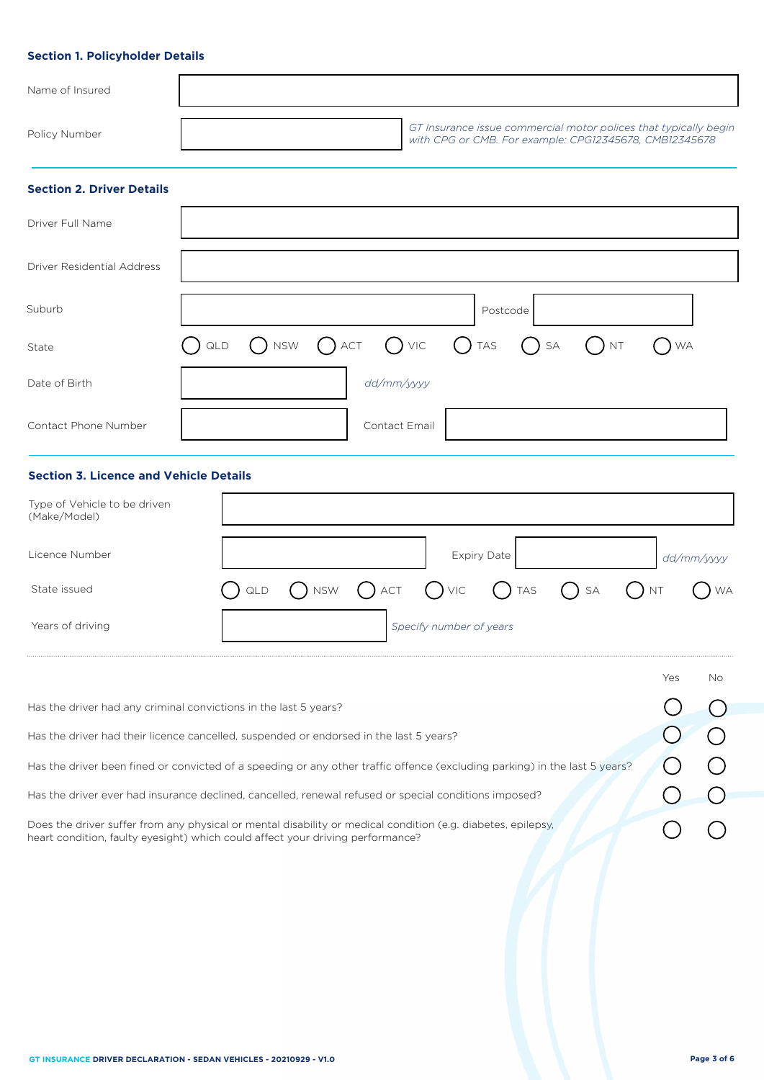# **Section 1. Policyholder Details**

| Name of Insured |                                                                                                                            |
|-----------------|----------------------------------------------------------------------------------------------------------------------------|
| Policy Number   | GT Insurance issue commercial motor polices that typically begin<br>with CPG or CMB. For example: CPG12345678, CMB12345678 |

# **Section 2. Driver Details**

| Driver Full Name           |                                                                                                                      |               |          |  |  |
|----------------------------|----------------------------------------------------------------------------------------------------------------------|---------------|----------|--|--|
| Driver Residential Address |                                                                                                                      |               |          |  |  |
| Suburb                     |                                                                                                                      |               | Postcode |  |  |
| State                      | $\bigcirc$ qld $\bigcirc$ nsw $\bigcirc$ act $\bigcirc$ vic $\bigcirc$ tas $\bigcirc$ sa $\bigcirc$ nt $\bigcirc$ wa |               |          |  |  |
| Date of Birth              |                                                                                                                      | dd/mm/yyyy    |          |  |  |
| Contact Phone Number       |                                                                                                                      | Contact Email |          |  |  |

# **Section 3. Licence and Vehicle Details**

| Type of Vehicle to be driven<br>(Make/Model) |  |                         |                                                                                                              |  |            |
|----------------------------------------------|--|-------------------------|--------------------------------------------------------------------------------------------------------------|--|------------|
| Licence Number                               |  |                         | <b>Expiry Date</b>                                                                                           |  | dd/mm/yyyy |
| State issued                                 |  |                         | $\bigcap$ QLD $\bigcap$ NSW $\bigcap$ ACT $\bigcap$ VIC $\bigcap$ TAS $\bigcap$ SA $\bigcap$ NT $\bigcap$ WA |  |            |
| Years of driving                             |  | Specify number of years |                                                                                                              |  |            |

|                                                                                                                                                                                                | Yes | No. |
|------------------------------------------------------------------------------------------------------------------------------------------------------------------------------------------------|-----|-----|
| Has the driver had any criminal convictions in the last 5 years?                                                                                                                               |     |     |
| Has the driver had their licence cancelled, suspended or endorsed in the last 5 years?                                                                                                         |     |     |
| Has the driver been fined or convicted of a speeding or any other traffic offence (excluding parking) in the last 5 years?                                                                     |     |     |
| Has the driver ever had insurance declined, cancelled, renewal refused or special conditions imposed?                                                                                          |     |     |
| Does the driver suffer from any physical or mental disability or medical condition (e.g. diabetes, epilepsy,<br>heart condition, faulty eyesight) which could affect your driving performance? |     |     |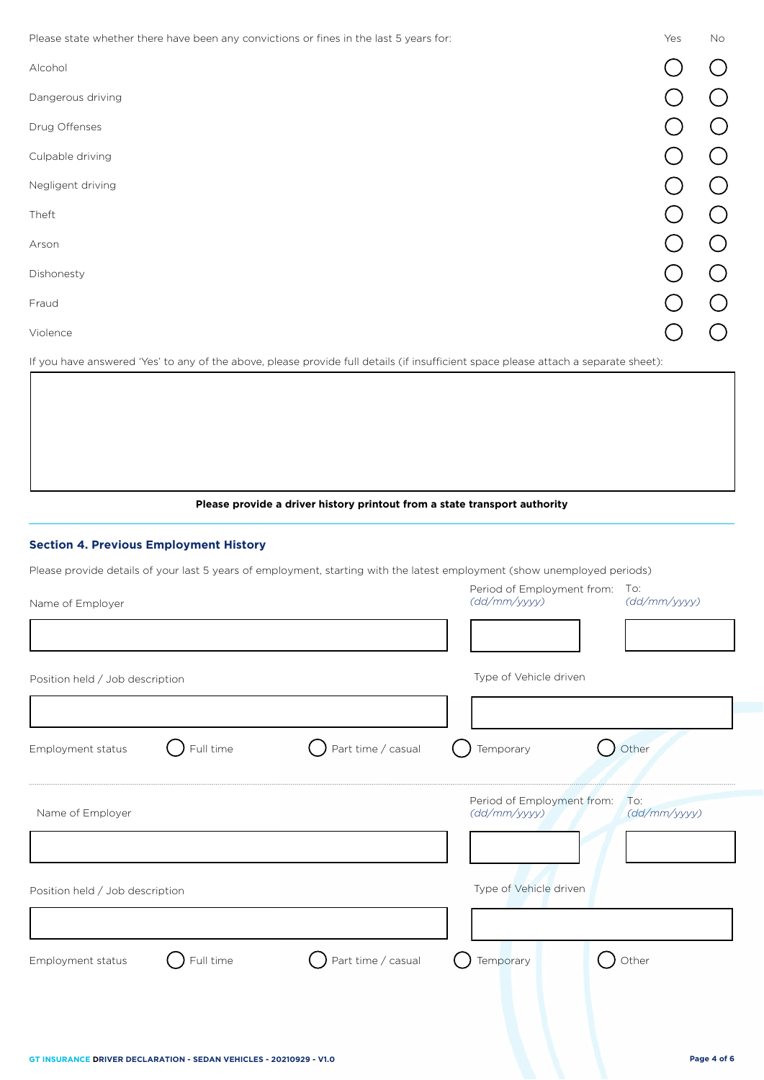Please state whether there have been any convictions or fines in the last 5 years for: Yes No

| Prease state writerier triefe nave been any convictions or miles in the last 5 years for. | 152 | $\overline{1}$ |
|-------------------------------------------------------------------------------------------|-----|----------------|
| Alcohol                                                                                   |     |                |
| Dangerous driving                                                                         |     |                |
| Drug Offenses                                                                             |     |                |
| Culpable driving                                                                          |     |                |
| Negligent driving                                                                         |     |                |
| Theft                                                                                     |     |                |
| Arson                                                                                     |     |                |
| Dishonesty                                                                                |     |                |
| Fraud                                                                                     |     |                |
| Violence                                                                                  |     |                |

If you have answered 'Yes' to any of the above, please provide full details (if insufficient space please attach a separate sheet):

**Please provide a driver history printout from a state transport authority**

# **Section 4. Previous Employment History**

Please provide details of your last 5 years of employment, starting with the latest employment (show unemployed periods)

| Name of Employer                |                    | Period of Employment from:<br>To:<br>(dd/mm/yyyy)<br>(dd/mm/yyyy) |
|---------------------------------|--------------------|-------------------------------------------------------------------|
|                                 |                    |                                                                   |
| Position held / Job description |                    | Type of Vehicle driven                                            |
|                                 |                    |                                                                   |
| Full time<br>Employment status  | Part time / casual | Other<br>Temporary                                                |
| Name of Employer                |                    | Period of Employment from:<br>To:<br>(dd/mm/yyyy)<br>(dd/mm/yyyy) |
| Position held / Job description |                    | Type of Vehicle driven                                            |
| Full time<br>Employment status  | Part time / casual | Other<br>Temporary                                                |
|                                 |                    |                                                                   |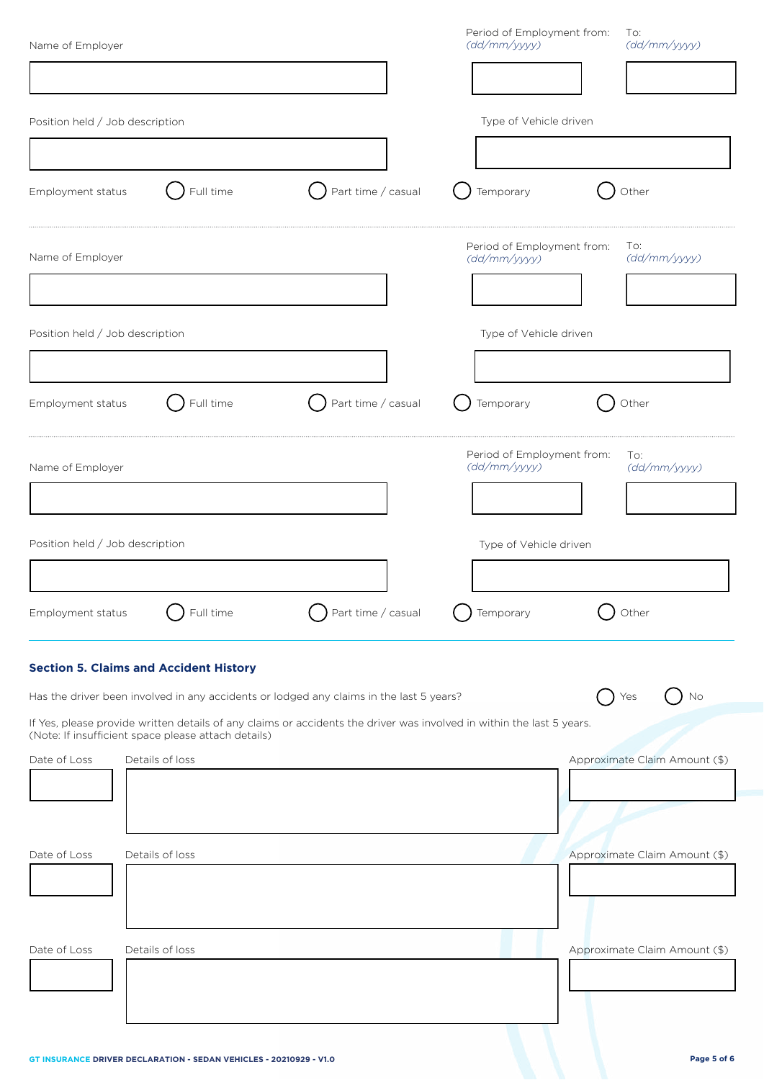| Name of Employer                |                                                     |                                                                                                                       | Period of Employment from:<br>(dd/mm/yyyy) | To:<br>(dd/mm/yyyy)           |
|---------------------------------|-----------------------------------------------------|-----------------------------------------------------------------------------------------------------------------------|--------------------------------------------|-------------------------------|
|                                 |                                                     |                                                                                                                       |                                            |                               |
| Position held / Job description |                                                     |                                                                                                                       | Type of Vehicle driven                     |                               |
|                                 |                                                     |                                                                                                                       |                                            |                               |
| Employment status               | Full time                                           | Part time / casual                                                                                                    | Temporary                                  | Other                         |
| Name of Employer                |                                                     |                                                                                                                       | Period of Employment from:<br>(dd/mm/yyyy) | To:<br>(dd/mm/yyyy)           |
|                                 |                                                     |                                                                                                                       |                                            |                               |
| Position held / Job description |                                                     |                                                                                                                       | Type of Vehicle driven                     |                               |
| Employment status               | Full time                                           | Part time / casual                                                                                                    | Temporary                                  | Other                         |
|                                 |                                                     |                                                                                                                       |                                            |                               |
| Name of Employer                |                                                     |                                                                                                                       | Period of Employment from:<br>(dd/mm/yyyy) | To:<br>(dd/mm/yyyy)           |
|                                 |                                                     |                                                                                                                       |                                            |                               |
| Position held / Job description |                                                     |                                                                                                                       | Type of Vehicle driven                     |                               |
|                                 |                                                     |                                                                                                                       |                                            |                               |
| Employment status               | Full time                                           | Part time / casual                                                                                                    | Temporary                                  | Other                         |
|                                 | <b>Section 5. Claims and Accident History</b>       |                                                                                                                       |                                            |                               |
|                                 |                                                     | Has the driver been involved in any accidents or lodged any claims in the last 5 years?                               |                                            | No<br>Yes                     |
|                                 | (Note: If insufficient space please attach details) | If Yes, please provide written details of any claims or accidents the driver was involved in within the last 5 years. |                                            |                               |
| Date of Loss                    | Details of loss                                     |                                                                                                                       |                                            | Approximate Claim Amount (\$) |
|                                 |                                                     |                                                                                                                       |                                            |                               |
|                                 |                                                     |                                                                                                                       |                                            |                               |
| Date of Loss                    | Details of loss                                     |                                                                                                                       |                                            | Approximate Claim Amount (\$) |
|                                 |                                                     |                                                                                                                       |                                            |                               |
| Date of Loss                    | Details of loss                                     |                                                                                                                       |                                            | Approximate Claim Amount (\$) |
|                                 |                                                     |                                                                                                                       |                                            |                               |
|                                 |                                                     |                                                                                                                       |                                            |                               |